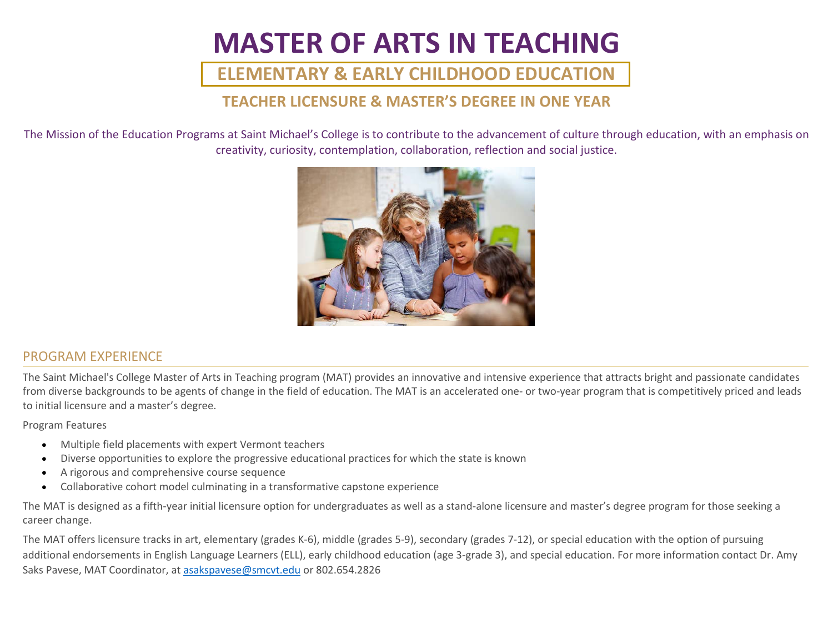# **MASTER OF ARTS IN TEACHING**

## **ELEMENTARY & EARLY CHILDHOOD EDUCATION**

### **TEACHER LICENSURE & MASTER'S DEGREE IN ONE YEAR**

The Mission of the Education Programs at Saint Michael's College is to contribute to the advancement of culture through education, with an emphasis on creativity, curiosity, contemplation, collaboration, reflection and social justice.



#### PROGRAM EXPERIENCE

The Saint Michael's College Master of Arts in Teaching program (MAT) provides an innovative and intensive experience that attracts bright and passionate candidates from diverse backgrounds to be agents of change in the field of education. The MAT is an accelerated one- or two-year program that is competitively priced and leads to initial licensure and a master's degree.

Program Features

- Multiple field placements with expert Vermont teachers
- Diverse opportunities to explore the progressive educational practices for which the state is known
- A rigorous and comprehensive course sequence
- Collaborative cohort model culminating in a transformative capstone experience

The MAT is designed as a fifth-year initial licensure option for undergraduates as well as a stand-alone licensure and master's degree program for those seeking a career change.

The MAT offers licensure tracks in art, elementary (grades K-6), middle (grades 5-9), secondary (grades 7-12), or special education with the option of pursuing additional endorsements in English Language Learners (ELL), early childhood education (age 3-grade 3), and special education. For more information contact Dr. Amy Saks Pavese, MAT Coordinator, at [asakspavese@smcvt.edu](mailto:asakspavese@smcvt.edu) or 802.654.2826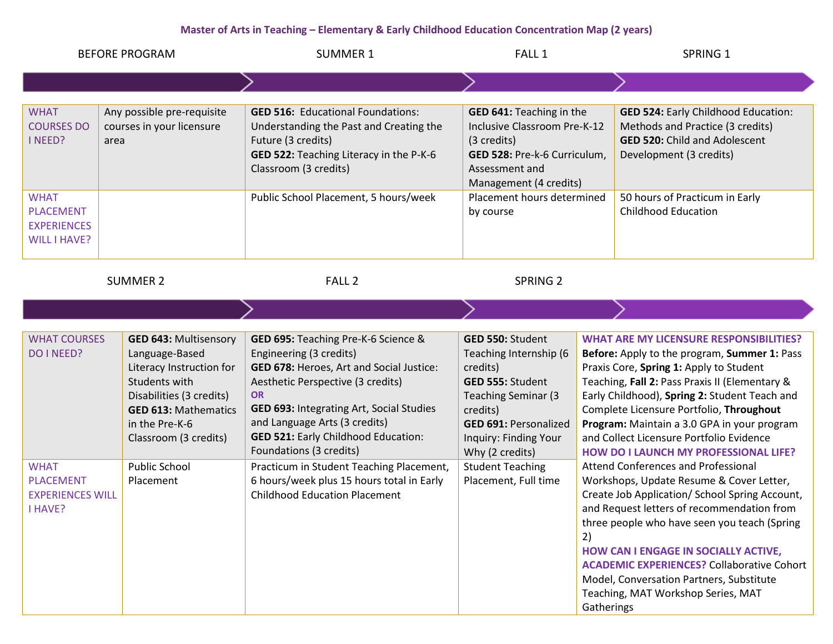#### **Master of Arts in Teaching – Elementary & Early Childhood Education Concentration Map (2 years)**

| <b>BEFORE PROGRAM</b>                                                                                      |                                                                                                                                                                                                                                        | <b>SUMMER 1</b>                                                                                                                                                                                                                                                                                                                                                                                                                                     | FALL 1                                                                                                                                                                                                                                               | SPRING 1                                                                                                                                                                                                                                                                                                                                                                                                                                                                                                                                                                                                                                                                                                                                                                                                                                                                  |
|------------------------------------------------------------------------------------------------------------|----------------------------------------------------------------------------------------------------------------------------------------------------------------------------------------------------------------------------------------|-----------------------------------------------------------------------------------------------------------------------------------------------------------------------------------------------------------------------------------------------------------------------------------------------------------------------------------------------------------------------------------------------------------------------------------------------------|------------------------------------------------------------------------------------------------------------------------------------------------------------------------------------------------------------------------------------------------------|---------------------------------------------------------------------------------------------------------------------------------------------------------------------------------------------------------------------------------------------------------------------------------------------------------------------------------------------------------------------------------------------------------------------------------------------------------------------------------------------------------------------------------------------------------------------------------------------------------------------------------------------------------------------------------------------------------------------------------------------------------------------------------------------------------------------------------------------------------------------------|
|                                                                                                            |                                                                                                                                                                                                                                        |                                                                                                                                                                                                                                                                                                                                                                                                                                                     |                                                                                                                                                                                                                                                      |                                                                                                                                                                                                                                                                                                                                                                                                                                                                                                                                                                                                                                                                                                                                                                                                                                                                           |
| <b>WHAT</b><br><b>COURSES DO</b><br>I NEED?                                                                | Any possible pre-requisite<br>courses in your licensure<br>area                                                                                                                                                                        | <b>GED 516: Educational Foundations:</b><br>Understanding the Past and Creating the<br>Future (3 credits)<br>GED 522: Teaching Literacy in the P-K-6<br>Classroom (3 credits)                                                                                                                                                                                                                                                                       | GED 641: Teaching in the<br>Inclusive Classroom Pre-K-12<br>(3 credits)<br>GED 528: Pre-k-6 Curriculum,<br>Assessment and<br>Management (4 credits)                                                                                                  | <b>GED 524: Early Childhood Education:</b><br>Methods and Practice (3 credits)<br><b>GED 520: Child and Adolescent</b><br>Development (3 credits)                                                                                                                                                                                                                                                                                                                                                                                                                                                                                                                                                                                                                                                                                                                         |
| <b>WHAT</b><br><b>PLACEMENT</b><br><b>EXPERIENCES</b><br><b>WILL I HAVE?</b>                               |                                                                                                                                                                                                                                        | Public School Placement, 5 hours/week                                                                                                                                                                                                                                                                                                                                                                                                               | Placement hours determined<br>by course                                                                                                                                                                                                              | 50 hours of Practicum in Early<br><b>Childhood Education</b>                                                                                                                                                                                                                                                                                                                                                                                                                                                                                                                                                                                                                                                                                                                                                                                                              |
| <b>SUMMER 2</b>                                                                                            |                                                                                                                                                                                                                                        | FALL <sub>2</sub>                                                                                                                                                                                                                                                                                                                                                                                                                                   | <b>SPRING 2</b>                                                                                                                                                                                                                                      |                                                                                                                                                                                                                                                                                                                                                                                                                                                                                                                                                                                                                                                                                                                                                                                                                                                                           |
|                                                                                                            |                                                                                                                                                                                                                                        |                                                                                                                                                                                                                                                                                                                                                                                                                                                     |                                                                                                                                                                                                                                                      |                                                                                                                                                                                                                                                                                                                                                                                                                                                                                                                                                                                                                                                                                                                                                                                                                                                                           |
| <b>WHAT COURSES</b><br>DO I NEED?<br><b>WHAT</b><br><b>PLACEMENT</b><br><b>EXPERIENCES WILL</b><br>I HAVE? | <b>GED 643: Multisensory</b><br>Language-Based<br>Literacy Instruction for<br>Students with<br>Disabilities (3 credits)<br><b>GED 613: Mathematics</b><br>in the Pre-K-6<br>Classroom (3 credits)<br><b>Public School</b><br>Placement | GED 695: Teaching Pre-K-6 Science &<br>Engineering (3 credits)<br>GED 678: Heroes, Art and Social Justice:<br>Aesthetic Perspective (3 credits)<br><b>OR</b><br>GED 693: Integrating Art, Social Studies<br>and Language Arts (3 credits)<br><b>GED 521: Early Childhood Education:</b><br>Foundations (3 credits)<br>Practicum in Student Teaching Placement,<br>6 hours/week plus 15 hours total in Early<br><b>Childhood Education Placement</b> | GED 550: Student<br>Teaching Internship (6<br>credits)<br>GED 555: Student<br><b>Teaching Seminar (3)</b><br>credits)<br><b>GED 691: Personalized</b><br>Inquiry: Finding Your<br>Why (2 credits)<br><b>Student Teaching</b><br>Placement, Full time | <b>WHAT ARE MY LICENSURE RESPONSIBILITIES?</b><br>Before: Apply to the program, Summer 1: Pass<br>Praxis Core, Spring 1: Apply to Student<br>Teaching, Fall 2: Pass Praxis II (Elementary &<br>Early Childhood), Spring 2: Student Teach and<br>Complete Licensure Portfolio, Throughout<br>Program: Maintain a 3.0 GPA in your program<br>and Collect Licensure Portfolio Evidence<br><b>HOW DO I LAUNCH MY PROFESSIONAL LIFE?</b><br>Attend Conferences and Professional<br>Workshops, Update Resume & Cover Letter,<br>Create Job Application/ School Spring Account,<br>and Request letters of recommendation from<br>three people who have seen you teach (Spring<br>2)<br>HOW CAN I ENGAGE IN SOCIALLY ACTIVE,<br><b>ACADEMIC EXPERIENCES?</b> Collaborative Cohort<br>Model, Conversation Partners, Substitute<br>Teaching, MAT Workshop Series, MAT<br>Gatherings |